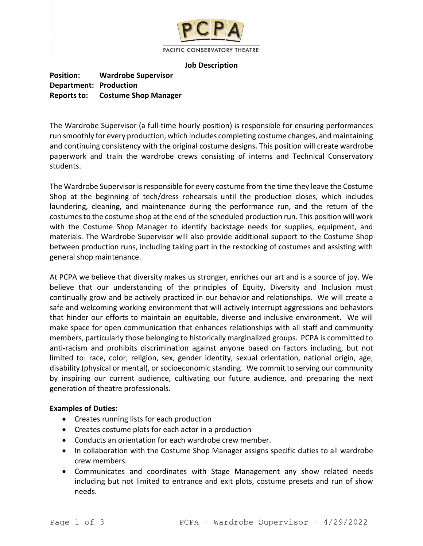

#### **Job Description**

**Position: Wardrobe Supervisor Department: Production Reports to: Costume Shop Manager**

The Wardrobe Supervisor (a full-time hourly position) is responsible for ensuring performances run smoothly for every production, which includes completing costume changes, and maintaining and continuing consistency with the original costume designs. This position will create wardrobe paperwork and train the wardrobe crews consisting of interns and Technical Conservatory students.

The Wardrobe Supervisor is responsible for every costume from the time they leave the Costume Shop at the beginning of tech/dress rehearsals until the production closes, which includes laundering, cleaning, and maintenance during the performance run, and the return of the costumes to the costume shop at the end of the scheduled production run. This position will work with the Costume Shop Manager to identify backstage needs for supplies, equipment, and materials. The Wardrobe Supervisor will also provide additional support to the Costume Shop between production runs, including taking part in the restocking of costumes and assisting with general shop maintenance.

At PCPA we believe that diversity makes us stronger, enriches our art and is a source of joy. We believe that our understanding of the principles of Equity, Diversity and Inclusion must continually grow and be actively practiced in our behavior and relationships. We will create a safe and welcoming working environment that will actively interrupt aggressions and behaviors that hinder our efforts to maintain an equitable, diverse and inclusive environment. We will make space for open communication that enhances relationships with all staff and community members, particularly those belonging to historically marginalized groups. PCPA is committed to anti-racism and prohibits discrimination against anyone based on factors including, but not limited to: race, color, religion, sex, gender identity, sexual orientation, national origin, age, disability (physical or mental), or socioeconomic standing. We commit to serving our community by inspiring our current audience, cultivating our future audience, and preparing the next generation of theatre professionals.

# **Examples of Duties:**

- Creates running lists for each production
- Creates costume plots for each actor in a production
- Conducts an orientation for each wardrobe crew member.
- In collaboration with the Costume Shop Manager assigns specific duties to all wardrobe crew members.
- Communicates and coordinates with Stage Management any show related needs including but not limited to entrance and exit plots, costume presets and run of show needs.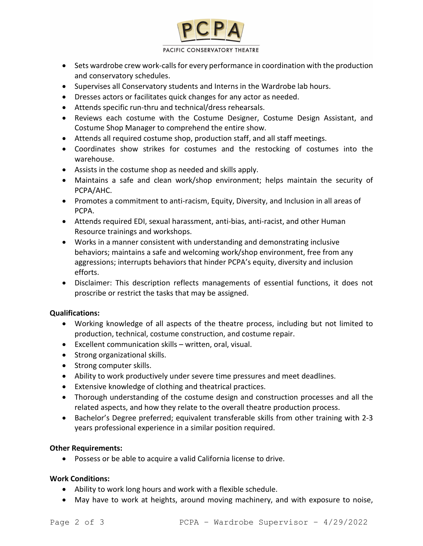

#### PACIFIC CONSERVATORY THEATRE

- Sets wardrobe crew work-calls for every performance in coordination with the production and conservatory schedules.
- Supervises all Conservatory students and Interns in the Wardrobe lab hours.
- Dresses actors or facilitates quick changes for any actor as needed.
- Attends specific run-thru and technical/dress rehearsals.
- Reviews each costume with the Costume Designer, Costume Design Assistant, and Costume Shop Manager to comprehend the entire show.
- Attends all required costume shop, production staff, and all staff meetings.
- Coordinates show strikes for costumes and the restocking of costumes into the warehouse.
- Assists in the costume shop as needed and skills apply.
- Maintains a safe and clean work/shop environment; helps maintain the security of PCPA/AHC.
- Promotes a commitment to anti-racism, Equity, Diversity, and Inclusion in all areas of PCPA.
- Attends required EDI, sexual harassment, anti-bias, anti-racist, and other Human Resource trainings and workshops.
- Works in a manner consistent with understanding and demonstrating inclusive behaviors; maintains a safe and welcoming work/shop environment, free from any aggressions; interrupts behaviors that hinder PCPA's equity, diversity and inclusion efforts.
- Disclaimer: This description reflects managements of essential functions, it does not proscribe or restrict the tasks that may be assigned.

# **Qualifications:**

- Working knowledge of all aspects of the theatre process, including but not limited to production, technical, costume construction, and costume repair.
- Excellent communication skills written, oral, visual.
- Strong organizational skills.
- Strong computer skills.
- Ability to work productively under severe time pressures and meet deadlines.
- Extensive knowledge of clothing and theatrical practices.
- Thorough understanding of the costume design and construction processes and all the related aspects, and how they relate to the overall theatre production process.
- Bachelor's Degree preferred; equivalent transferable skills from other training with 2-3 years professional experience in a similar position required.

# **Other Requirements:**

• Possess or be able to acquire a valid California license to drive.

# **Work Conditions:**

- Ability to work long hours and work with a flexible schedule.
- May have to work at heights, around moving machinery, and with exposure to noise,